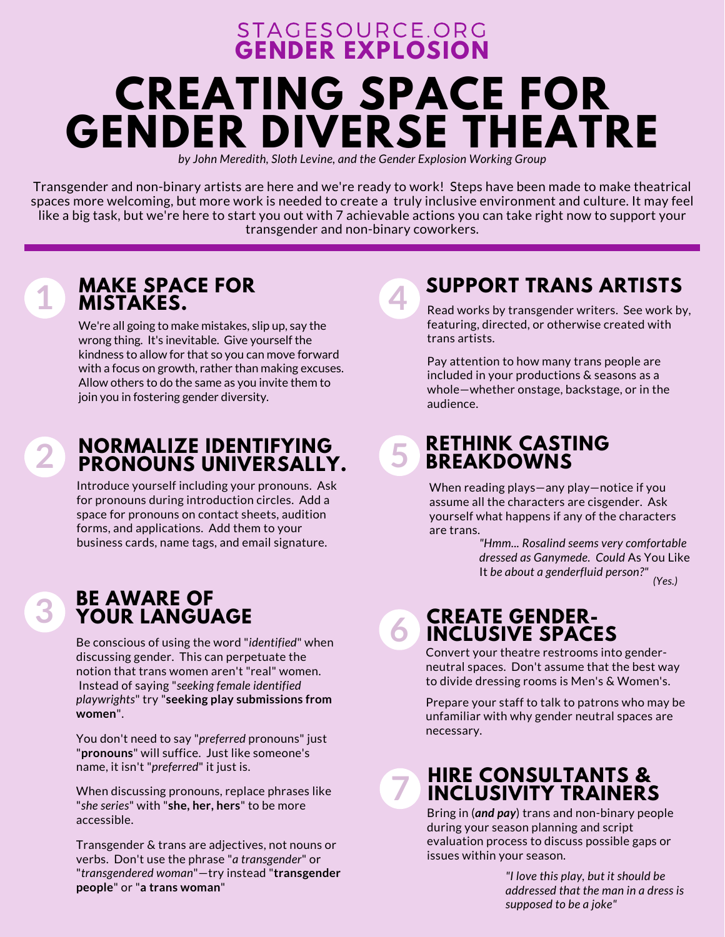## **GENDER [EXPLOSION](https://www.stagesource.org/page/GenderExplosion)** [STAGESOURCE.ORG](https://www.stagesource.org/page/GenderExplosion) **CREATING SPACE FOR GENDER DIVERSE THEATRE** *by John Meredith, Sloth Levine, and the Gender Explosion Working Group*

Transgender and non-binary artists are here and we're ready to work! Steps have been made to make theatrical spaces more welcoming, but more work is needed to create a truly inclusive environment and culture. It may feel like a big task, but we're here to start you out with 7 achievable actions you can take right now to support your transgender and non-binary coworkers.

**4**

**5**

**6**

**7**

# **1**

**2**

**3**

#### **MAKE SPACE FOR MISTAKES.**

We're all going to make mistakes, slip up, say the wrong thing. It's inevitable. Give yourself the kindness to allow for that so you can move forward with a focus on growth, rather than making excuses. Allow others to do the same as you invite them to join you in fostering gender diversity.

#### **NORMALIZE IDENTIFYING PRONOUNS UNIVERSALLY.**

Introduce yourself including your pronouns. Ask for pronouns during introduction circles. Add a space for pronouns on contact sheets, audition forms, and applications. Add them to your business cards, name tags, and email signature.

#### **BE AWARE OF YOUR LANGUAGE**

Be conscious of using the word "*identified*" when discussing gender. This can perpetuate the notion that trans women aren't "real" women. Instead of saying "*seeking female identified playwrights*" try "**seeking play submissions from women**".

You don't need to say "*preferred* pronouns" just "**pronouns**" will suffice. Just like someone's name, it isn't "*preferred*" it just is.

When discussing pronouns, replace phrases like "*she series*" with "**she, her, hers**" to be more accessible.

Transgender & trans are adjectives, not nouns or verbs. Don't use the phrase "*a transgender*" or "*transgendered woman*"—try instead "**transgender people**" or "**a trans woman**"

## **SUPPORT TRANS ARTISTS**

Read works by transgender writers. See work by, featuring, directed, or otherwise created with trans artists.

Pay attention to how many trans people are included in your productions & seasons as a whole—whether onstage, backstage, or in the audience.

#### **RETHINK CASTING BREAKDOWNS**

When reading plays—any play—notice if you assume all the characters are cisgender. Ask yourself what happens if any of the characters are trans.

> *"Hmm... Rosalind seems very comfortable dressed as Ganymede. Could* As You Like It *be about a genderfluid person?" (Yes.)*

#### **CREATE GENDER-INCLUSIVE SPACES**

Convert your theatre restrooms into genderneutral spaces. Don't assume that the best way to divide dressing rooms is Men's & Women's.

Prepare your staff to talk to patrons who may be unfamiliar with why gender neutral spaces are necessary.

#### **HIRE CONSULTANTS & INCLUSIVITY TRAINERS**

Bring in (*and pay*) trans and non-binary people during your season planning and script evaluation process to discuss possible gaps or issues within your season.

> *"I love this play, but it should be addressed that the man in a dress is supposed to be a joke"*